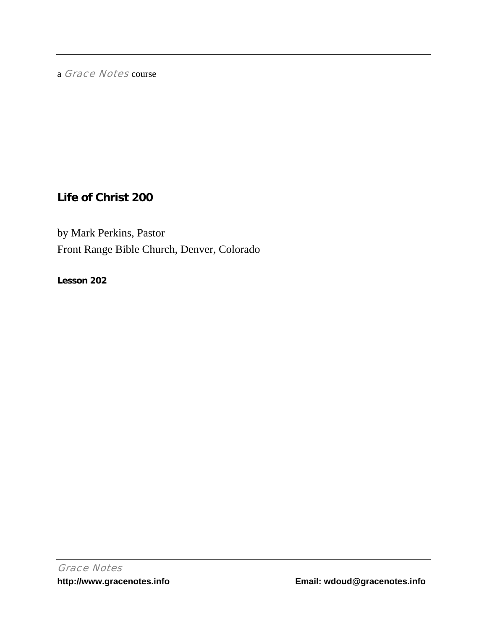a Grace Notes course

# **Life of Christ 200**

by Mark Perkins, Pastor Front Range Bible Church, Denver, Colorado

**Lesson 202**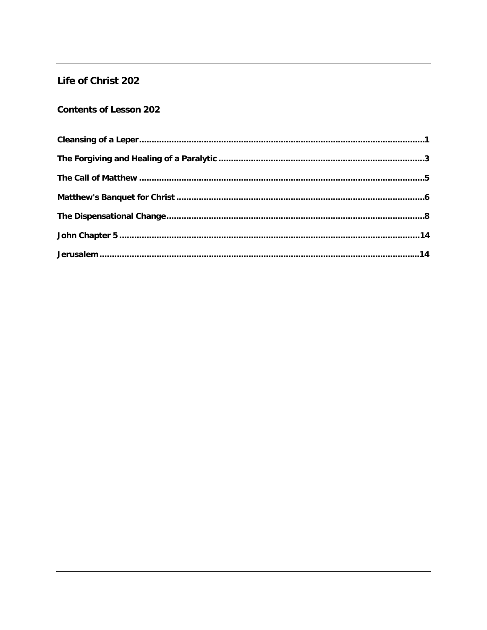## Life of Christ 202

## **Contents of Lesson 202**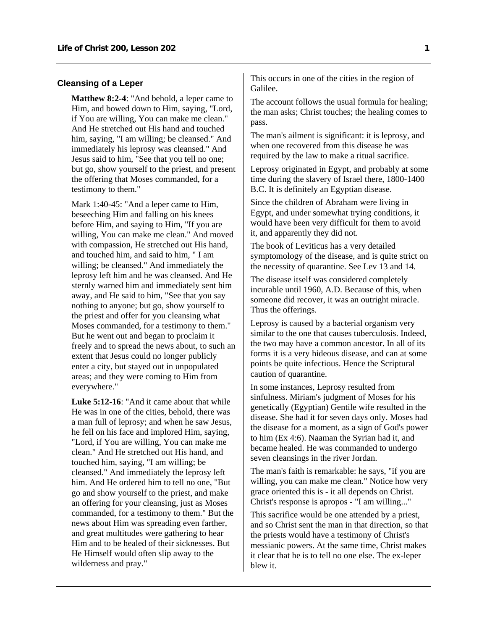#### <span id="page-2-0"></span>**Cleansing of a Leper**

**Matthew 8:2-4**: "And behold, a leper came to Him, and bowed down to Him, saying, "Lord, if You are willing, You can make me clean." And He stretched out His hand and touched him, saying, "I am willing; be cleansed." And immediately his leprosy was cleansed." And Jesus said to him, "See that you tell no one; but go, show yourself to the priest, and present the offering that Moses commanded, for a testimony to them."

Mark 1:40-45: "And a leper came to Him, beseeching Him and falling on his knees before Him, and saying to Him, "If you are willing, You can make me clean." And moved with compassion, He stretched out His hand, and touched him, and said to him, " I am willing; be cleansed." And immediately the leprosy left him and he was cleansed. And He sternly warned him and immediately sent him away, and He said to him, "See that you say nothing to anyone; but go, show yourself to the priest and offer for you cleansing what Moses commanded, for a testimony to them." But he went out and began to proclaim it freely and to spread the news about, to such an extent that Jesus could no longer publicly enter a city, but stayed out in unpopulated areas; and they were coming to Him from everywhere."

**Luke 5:12-16**: "And it came about that while He was in one of the cities, behold, there was a man full of leprosy; and when he saw Jesus, he fell on his face and implored Him, saying, "Lord, if You are willing, You can make me clean." And He stretched out His hand, and touched him, saying, "I am willing; be cleansed." And immediately the leprosy left him. And He ordered him to tell no one, "But go and show yourself to the priest, and make an offering for your cleansing, just as Moses commanded, for a testimony to them." But the news about Him was spreading even farther, and great multitudes were gathering to hear Him and to be healed of their sicknesses. But He Himself would often slip away to the wilderness and pray."

This occurs in one of the cities in the region of Galilee.

The account follows the usual formula for healing; the man asks; Christ touches; the healing comes to pass.

The man's ailment is significant: it is leprosy, and when one recovered from this disease he was required by the law to make a ritual sacrifice.

Leprosy originated in Egypt, and probably at some time during the slavery of Israel there, 1800-1400 B.C. It is definitely an Egyptian disease.

Since the children of Abraham were living in Egypt, and under somewhat trying conditions, it would have been very difficult for them to avoid it, and apparently they did not.

The book of Leviticus has a very detailed symptomology of the disease, and is quite strict on the necessity of quarantine. See Lev 13 and 14.

The disease itself was considered completely incurable until 1960, A.D. Because of this, when someone did recover, it was an outright miracle. Thus the offerings.

Leprosy is caused by a bacterial organism very similar to the one that causes tuberculosis. Indeed, the two may have a common ancestor. In all of its forms it is a very hideous disease, and can at some points be quite infectious. Hence the Scriptural caution of quarantine.

In some instances, Leprosy resulted from sinfulness. Miriam's judgment of Moses for his genetically (Egyptian) Gentile wife resulted in the disease. She had it for seven days only. Moses had the disease for a moment, as a sign of God's power to him (Ex 4:6). Naaman the Syrian had it, and became healed. He was commanded to undergo seven cleansings in the river Jordan.

The man's faith is remarkable: he says, "if you are willing, you can make me clean." Notice how very grace oriented this is - it all depends on Christ. Christ's response is apropos - "I am willing..."

This sacrifice would be one attended by a priest, and so Christ sent the man in that direction, so that the priests would have a testimony of Christ's messianic powers. At the same time, Christ makes it clear that he is to tell no one else. The ex-leper blew it.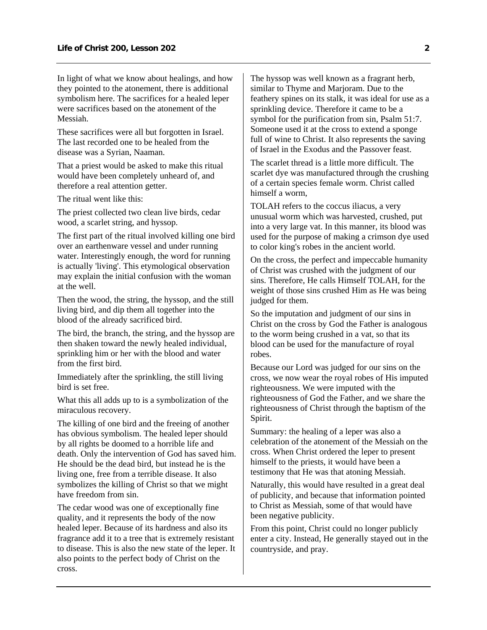In light of what we know about healings, and how they pointed to the atonement, there is additional symbolism here. The sacrifices for a healed leper were sacrifices based on the atonement of the Messiah.

These sacrifices were all but forgotten in Israel. The last recorded one to be healed from the disease was a Syrian, Naaman.

That a priest would be asked to make this ritual would have been completely unheard of, and therefore a real attention getter.

The ritual went like this:

The priest collected two clean live birds, cedar wood, a scarlet string, and hyssop.

The first part of the ritual involved killing one bird over an earthenware vessel and under running water. Interestingly enough, the word for running is actually 'living'. This etymological observation may explain the initial confusion with the woman at the well.

Then the wood, the string, the hyssop, and the still living bird, and dip them all together into the blood of the already sacrificed bird.

The bird, the branch, the string, and the hyssop are then shaken toward the newly healed individual, sprinkling him or her with the blood and water from the first bird.

Immediately after the sprinkling, the still living bird is set free.

What this all adds up to is a symbolization of the miraculous recovery.

The killing of one bird and the freeing of another has obvious symbolism. The healed leper should by all rights be doomed to a horrible life and death. Only the intervention of God has saved him. He should be the dead bird, but instead he is the living one, free from a terrible disease. It also symbolizes the killing of Christ so that we might have freedom from sin.

The cedar wood was one of exceptionally fine quality, and it represents the body of the now healed leper. Because of its hardness and also its fragrance add it to a tree that is extremely resistant to disease. This is also the new state of the leper. It also points to the perfect body of Christ on the cross.

The hyssop was well known as a fragrant herb, similar to Thyme and Marjoram. Due to the feathery spines on its stalk, it was ideal for use as a sprinkling device. Therefore it came to be a symbol for the purification from sin, Psalm 51:7. Someone used it at the cross to extend a sponge full of wine to Christ. It also represents the saving of Israel in the Exodus and the Passover feast.

The scarlet thread is a little more difficult. The scarlet dye was manufactured through the crushing of a certain species female worm. Christ called himself a worm,

TOLAH refers to the coccus iliacus, a very unusual worm which was harvested, crushed, put into a very large vat. In this manner, its blood was used for the purpose of making a crimson dye used to color king's robes in the ancient world.

On the cross, the perfect and impeccable humanity of Christ was crushed with the judgment of our sins. Therefore, He calls Himself TOLAH, for the weight of those sins crushed Him as He was being judged for them.

So the imputation and judgment of our sins in Christ on the cross by God the Father is analogous to the worm being crushed in a vat, so that its blood can be used for the manufacture of royal robes.

Because our Lord was judged for our sins on the cross, we now wear the royal robes of His imputed righteousness. We were imputed with the righteousness of God the Father, and we share the righteousness of Christ through the baptism of the Spirit.

Summary: the healing of a leper was also a celebration of the atonement of the Messiah on the cross. When Christ ordered the leper to present himself to the priests, it would have been a testimony that He was that atoning Messiah.

Naturally, this would have resulted in a great deal of publicity, and because that information pointed to Christ as Messiah, some of that would have been negative publicity.

From this point, Christ could no longer publicly enter a city. Instead, He generally stayed out in the countryside, and pray.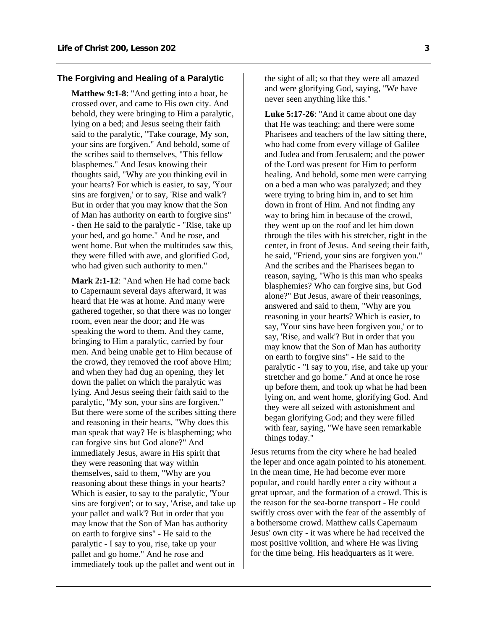## <span id="page-4-0"></span>**The Forgiving and Healing of a Paralytic**

**Matthew 9:1-8**: "And getting into a boat, he crossed over, and came to His own city. And behold, they were bringing to Him a paralytic, lying on a bed; and Jesus seeing their faith said to the paralytic, "Take courage, My son, your sins are forgiven." And behold, some of the scribes said to themselves, "This fellow blasphemes." And Jesus knowing their thoughts said, "Why are you thinking evil in your hearts? For which is easier, to say, 'Your sins are forgiven,' or to say, 'Rise and walk'? But in order that you may know that the Son of Man has authority on earth to forgive sins" - then He said to the paralytic - "Rise, take up your bed, and go home." And he rose, and went home. But when the multitudes saw this, they were filled with awe, and glorified God, who had given such authority to men."

**Mark 2:1-12**: "And when He had come back to Capernaum several days afterward, it was heard that He was at home. And many were gathered together, so that there was no longer room, even near the door; and He was speaking the word to them. And they came, bringing to Him a paralytic, carried by four men. And being unable get to Him because of the crowd, they removed the roof above Him; and when they had dug an opening, they let down the pallet on which the paralytic was lying. And Jesus seeing their faith said to the paralytic, "My son, your sins are forgiven." But there were some of the scribes sitting there and reasoning in their hearts, "Why does this man speak that way? He is blaspheming; who can forgive sins but God alone?" And immediately Jesus, aware in His spirit that they were reasoning that way within themselves, said to them, "Why are you reasoning about these things in your hearts? Which is easier, to say to the paralytic, 'Your sins are forgiven'; or to say, 'Arise, and take up your pallet and walk'? But in order that you may know that the Son of Man has authority on earth to forgive sins" - He said to the paralytic - I say to you, rise, take up your pallet and go home." And he rose and immediately took up the pallet and went out in

the sight of all; so that they were all amazed and were glorifying God, saying, "We have never seen anything like this."

**Luke 5:17-26**: "And it came about one day that He was teaching; and there were some Pharisees and teachers of the law sitting there, who had come from every village of Galilee and Judea and from Jerusalem; and the power of the Lord was present for Him to perform healing. And behold, some men were carrying on a bed a man who was paralyzed; and they were trying to bring him in, and to set him down in front of Him. And not finding any way to bring him in because of the crowd, they went up on the roof and let him down through the tiles with his stretcher, right in the center, in front of Jesus. And seeing their faith, he said, "Friend, your sins are forgiven you." And the scribes and the Pharisees began to reason, saying, "Who is this man who speaks blasphemies? Who can forgive sins, but God alone?" But Jesus, aware of their reasonings, answered and said to them, "Why are you reasoning in your hearts? Which is easier, to say, 'Your sins have been forgiven you,' or to say, 'Rise, and walk'? But in order that you may know that the Son of Man has authority on earth to forgive sins" - He said to the paralytic - "I say to you, rise, and take up your stretcher and go home." And at once he rose up before them, and took up what he had been lying on, and went home, glorifying God. And they were all seized with astonishment and began glorifying God; and they were filled with fear, saying, "We have seen remarkable things today."

Jesus returns from the city where he had healed the leper and once again pointed to his atonement. In the mean time, He had become ever more popular, and could hardly enter a city without a great uproar, and the formation of a crowd. This is the reason for the sea-borne transport - He could swiftly cross over with the fear of the assembly of a bothersome crowd. Matthew calls Capernaum Jesus' own city - it was where he had received the most positive volition, and where He was living for the time being. His headquarters as it were.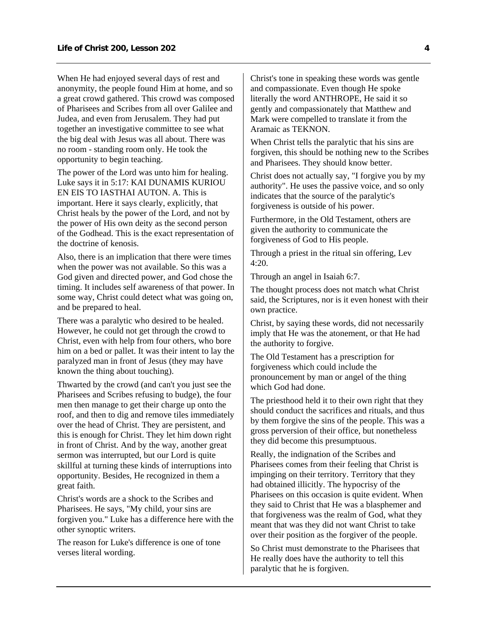When He had enjoyed several days of rest and anonymity, the people found Him at home, and so a great crowd gathered. This crowd was composed of Pharisees and Scribes from all over Galilee and Judea, and even from Jerusalem. They had put together an investigative committee to see what the big deal with Jesus was all about. There was no room - standing room only. He took the opportunity to begin teaching.

The power of the Lord was unto him for healing. Luke says it in 5:17: KAI DUNAMIS KURIOU EN EIS TO IASTHAI AUTON. A. This is important. Here it says clearly, explicitly, that Christ heals by the power of the Lord, and not by the power of His own deity as the second person of the Godhead. This is the exact representation of the doctrine of kenosis.

Also, there is an implication that there were times when the power was not available. So this was a God given and directed power, and God chose the timing. It includes self awareness of that power. In some way, Christ could detect what was going on, and be prepared to heal.

There was a paralytic who desired to be healed. However, he could not get through the crowd to Christ, even with help from four others, who bore him on a bed or pallet. It was their intent to lay the paralyzed man in front of Jesus (they may have known the thing about touching).

Thwarted by the crowd (and can't you just see the Pharisees and Scribes refusing to budge), the four men then manage to get their charge up onto the roof, and then to dig and remove tiles immediately over the head of Christ. They are persistent, and this is enough for Christ. They let him down right in front of Christ. And by the way, another great sermon was interrupted, but our Lord is quite skillful at turning these kinds of interruptions into opportunity. Besides, He recognized in them a great faith.

Christ's words are a shock to the Scribes and Pharisees. He says, "My child, your sins are forgiven you." Luke has a difference here with the other synoptic writers.

The reason for Luke's difference is one of tone verses literal wording.

Christ's tone in speaking these words was gentle and compassionate. Even though He spoke literally the word ANTHROPE, He said it so gently and compassionately that Matthew and Mark were compelled to translate it from the Aramaic as TEKNON.

When Christ tells the paralytic that his sins are forgiven, this should be nothing new to the Scribes and Pharisees. They should know better.

Christ does not actually say, "I forgive you by my authority". He uses the passive voice, and so only indicates that the source of the paralytic's forgiveness is outside of his power.

Furthermore, in the Old Testament, others are given the authority to communicate the forgiveness of God to His people.

Through a priest in the ritual sin offering, Lev 4:20.

Through an angel in Isaiah 6:7.

The thought process does not match what Christ said, the Scriptures, nor is it even honest with their own practice.

Christ, by saying these words, did not necessarily imply that He was the atonement, or that He had the authority to forgive.

The Old Testament has a prescription for forgiveness which could include the pronouncement by man or angel of the thing which God had done.

The priesthood held it to their own right that they should conduct the sacrifices and rituals, and thus by them forgive the sins of the people. This was a gross perversion of their office, but nonetheless they did become this presumptuous.

Really, the indignation of the Scribes and Pharisees comes from their feeling that Christ is impinging on their territory. Territory that they had obtained illicitly. The hypocrisy of the Pharisees on this occasion is quite evident. When they said to Christ that He was a blasphemer and that forgiveness was the realm of God, what they meant that was they did not want Christ to take over their position as the forgiver of the people.

So Christ must demonstrate to the Pharisees that He really does have the authority to tell this paralytic that he is forgiven.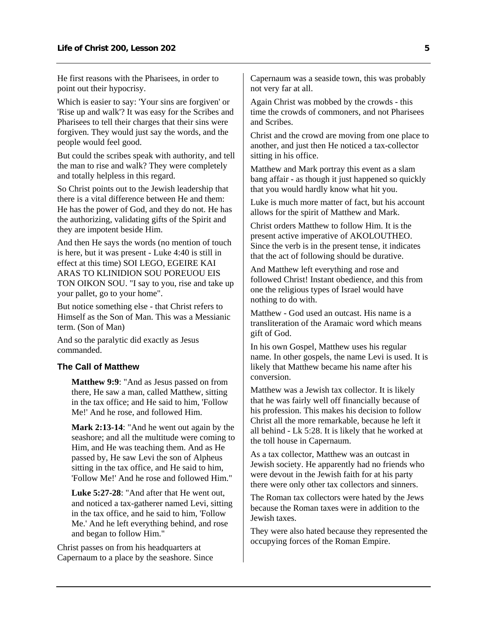<span id="page-6-0"></span>He first reasons with the Pharisees, in order to point out their hypocrisy.

Which is easier to say: 'Your sins are forgiven' or 'Rise up and walk'? It was easy for the Scribes and Pharisees to tell their charges that their sins were forgiven. They would just say the words, and the people would feel good.

But could the scribes speak with authority, and tell the man to rise and walk? They were completely and totally helpless in this regard.

So Christ points out to the Jewish leadership that there is a vital difference between He and them: He has the power of God, and they do not. He has the authorizing, validating gifts of the Spirit and they are impotent beside Him.

And then He says the words (no mention of touch is here, but it was present - Luke 4:40 is still in effect at this time) SOI LEGO, EGEIRE KAI ARAS TO KLINIDION SOU POREUOU EIS TON OIKON SOU. "I say to you, rise and take up your pallet, go to your home".

But notice something else - that Christ refers to Himself as the Son of Man. This was a Messianic term. (Son of Man)

And so the paralytic did exactly as Jesus commanded.

## **The Call of Matthew**

**Matthew 9:9**: "And as Jesus passed on from there, He saw a man, called Matthew, sitting in the tax office; and He said to him, 'Follow Me!' And he rose, and followed Him.

**Mark 2:13-14**: "And he went out again by the seashore; and all the multitude were coming to Him, and He was teaching them. And as He passed by, He saw Levi the son of Alpheus sitting in the tax office, and He said to him, 'Follow Me!' And he rose and followed Him."

**Luke 5:27-28**: "And after that He went out, and noticed a tax-gatherer named Levi, sitting in the tax office, and he said to him, 'Follow Me.' And he left everything behind, and rose and began to follow Him."

Christ passes on from his headquarters at Capernaum to a place by the seashore. Since Capernaum was a seaside town, this was probably not very far at all.

Again Christ was mobbed by the crowds - this time the crowds of commoners, and not Pharisees and Scribes.

Christ and the crowd are moving from one place to another, and just then He noticed a tax-collector sitting in his office.

Matthew and Mark portray this event as a slam bang affair - as though it just happened so quickly that you would hardly know what hit you.

Luke is much more matter of fact, but his account allows for the spirit of Matthew and Mark.

Christ orders Matthew to follow Him. It is the present active imperative of AKOLOUTHEO. Since the verb is in the present tense, it indicates that the act of following should be durative.

And Matthew left everything and rose and followed Christ! Instant obedience, and this from one the religious types of Israel would have nothing to do with.

Matthew - God used an outcast. His name is a transliteration of the Aramaic word which means gift of God.

In his own Gospel, Matthew uses his regular name. In other gospels, the name Levi is used. It is likely that Matthew became his name after his conversion.

Matthew was a Jewish tax collector. It is likely that he was fairly well off financially because of his profession. This makes his decision to follow Christ all the more remarkable, because he left it all behind - Lk 5:28. It is likely that he worked at the toll house in Capernaum.

As a tax collector, Matthew was an outcast in Jewish society. He apparently had no friends who were devout in the Jewish faith for at his party there were only other tax collectors and sinners.

The Roman tax collectors were hated by the Jews because the Roman taxes were in addition to the Jewish taxes.

They were also hated because they represented the occupying forces of the Roman Empire.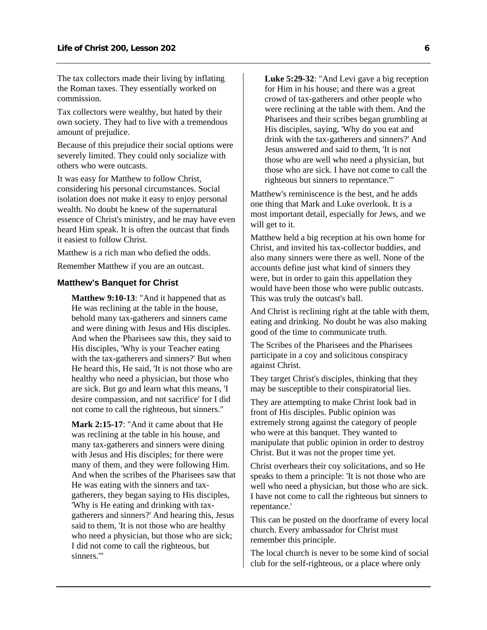<span id="page-7-0"></span>The tax collectors made their living by inflating the Roman taxes. They essentially worked on commission.

Tax collectors were wealthy, but hated by their own society. They had to live with a tremendous amount of prejudice.

Because of this prejudice their social options were severely limited. They could only socialize with others who were outcasts.

It was easy for Matthew to follow Christ, considering his personal circumstances. Social isolation does not make it easy to enjoy personal wealth. No doubt he knew of the supernatural essence of Christ's ministry, and he may have even heard Him speak. It is often the outcast that finds it easiest to follow Christ.

Matthew is a rich man who defied the odds.

Remember Matthew if you are an outcast.

#### **Matthew's Banquet for Christ**

**Matthew 9:10-13**: "And it happened that as He was reclining at the table in the house, behold many tax-gatherers and sinners came and were dining with Jesus and His disciples. And when the Pharisees saw this, they said to His disciples, 'Why is your Teacher eating with the tax-gatherers and sinners?' But when He heard this, He said, 'It is not those who are healthy who need a physician, but those who are sick. But go and learn what this means, 'I desire compassion, and not sacrifice' for I did not come to call the righteous, but sinners."

**Mark 2:15-17**: "And it came about that He was reclining at the table in his house, and many tax-gatherers and sinners were dining with Jesus and His disciples; for there were many of them, and they were following Him. And when the scribes of the Pharisees saw that He was eating with the sinners and taxgatherers, they began saying to His disciples, 'Why is He eating and drinking with taxgatherers and sinners?' And hearing this, Jesus said to them, 'It is not those who are healthy who need a physician, but those who are sick; I did not come to call the righteous, but sinners.'"

**Luke 5:29-32**: "And Levi gave a big reception for Him in his house; and there was a great crowd of tax-gatherers and other people who were reclining at the table with them. And the Pharisees and their scribes began grumbling at His disciples, saying, 'Why do you eat and drink with the tax-gatherers and sinners?' And Jesus answered and said to them, 'It is not those who are well who need a physician, but those who are sick. I have not come to call the righteous but sinners to repentance.'"

Matthew's reminiscence is the best, and he adds one thing that Mark and Luke overlook. It is a most important detail, especially for Jews, and we will get to it.

Matthew held a big reception at his own home for Christ, and invited his tax-collector buddies, and also many sinners were there as well. None of the accounts define just what kind of sinners they were, but in order to gain this appellation they would have been those who were public outcasts. This was truly the outcast's ball.

And Christ is reclining right at the table with them, eating and drinking. No doubt he was also making good of the time to communicate truth.

The Scribes of the Pharisees and the Pharisees participate in a coy and solicitous conspiracy against Christ.

They target Christ's disciples, thinking that they may be susceptible to their conspiratorial lies.

They are attempting to make Christ look bad in front of His disciples. Public opinion was extremely strong against the category of people who were at this banquet. They wanted to manipulate that public opinion in order to destroy Christ. But it was not the proper time yet.

Christ overhears their coy solicitations, and so He speaks to them a principle: 'It is not those who are well who need a physician, but those who are sick. I have not come to call the righteous but sinners to repentance.'

This can be posted on the doorframe of every local church. Every ambassador for Christ must remember this principle.

The local church is never to be some kind of social club for the self-righteous, or a place where only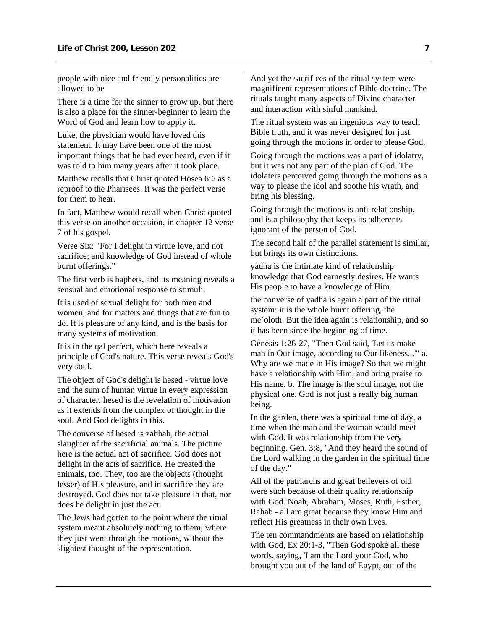people with nice and friendly personalities are allowed to be

There is a time for the sinner to grow up, but there is also a place for the sinner-beginner to learn the Word of God and learn how to apply it.

Luke, the physician would have loved this statement. It may have been one of the most important things that he had ever heard, even if it was told to him many years after it took place.

Matthew recalls that Christ quoted Hosea 6:6 as a reproof to the Pharisees. It was the perfect verse for them to hear.

In fact, Matthew would recall when Christ quoted this verse on another occasion, in chapter 12 verse 7 of his gospel.

Verse Six: "For I delight in virtue love, and not sacrifice; and knowledge of God instead of whole burnt offerings."

The first verb is haphets, and its meaning reveals a sensual and emotional response to stimuli.

It is used of sexual delight for both men and women, and for matters and things that are fun to do. It is pleasure of any kind, and is the basis for many systems of motivation.

It is in the qal perfect, which here reveals a principle of God's nature. This verse reveals God's very soul.

The object of God's delight is hesed - virtue love and the sum of human virtue in every expression of character. hesed is the revelation of motivation as it extends from the complex of thought in the soul. And God delights in this.

The converse of hesed is zabhah, the actual slaughter of the sacrificial animals. The picture here is the actual act of sacrifice. God does not delight in the acts of sacrifice. He created the animals, too. They, too are the objects (thought lesser) of His pleasure, and in sacrifice they are destroyed. God does not take pleasure in that, nor does he delight in just the act.

The Jews had gotten to the point where the ritual system meant absolutely nothing to them; where they just went through the motions, without the slightest thought of the representation.

And yet the sacrifices of the ritual system were magnificent representations of Bible doctrine. The rituals taught many aspects of Divine character and interaction with sinful mankind.

The ritual system was an ingenious way to teach Bible truth, and it was never designed for just going through the motions in order to please God.

Going through the motions was a part of idolatry, but it was not any part of the plan of God. The idolaters perceived going through the motions as a way to please the idol and soothe his wrath, and bring his blessing.

Going through the motions is anti-relationship, and is a philosophy that keeps its adherents ignorant of the person of God.

The second half of the parallel statement is similar, but brings its own distinctions.

yadha is the intimate kind of relationship knowledge that God earnestly desires. He wants His people to have a knowledge of Him.

the converse of yadha is again a part of the ritual system: it is the whole burnt offering, the me`oloth. But the idea again is relationship, and so it has been since the beginning of time.

Genesis 1:26-27, "Then God said, 'Let us make man in Our image, according to Our likeness...'" a. Why are we made in His image? So that we might have a relationship with Him, and bring praise to His name. b. The image is the soul image, not the physical one. God is not just a really big human being.

In the garden, there was a spiritual time of day, a time when the man and the woman would meet with God. It was relationship from the very beginning. Gen. 3:8, "And they heard the sound of the Lord walking in the garden in the spiritual time of the day."

All of the patriarchs and great believers of old were such because of their quality relationship with God. Noah, Abraham, Moses, Ruth, Esther, Rahab - all are great because they know Him and reflect His greatness in their own lives.

The ten commandments are based on relationship with God, Ex 20:1-3, "Then God spoke all these words, saying, 'I am the Lord your God, who brought you out of the land of Egypt, out of the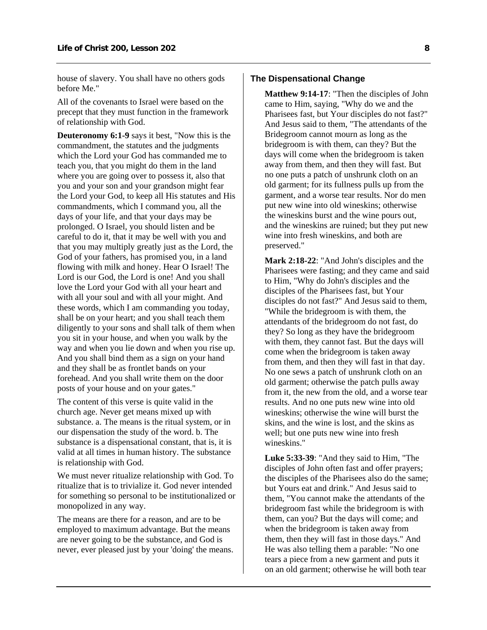<span id="page-9-0"></span>house of slavery. You shall have no others gods before Me."

All of the covenants to Israel were based on the precept that they must function in the framework of relationship with God.

**Deuteronomy 6:1-9** says it best, "Now this is the commandment, the statutes and the judgments which the Lord your God has commanded me to teach you, that you might do them in the land where you are going over to possess it, also that you and your son and your grandson might fear the Lord your God, to keep all His statutes and His commandments, which I command you, all the days of your life, and that your days may be prolonged. O Israel, you should listen and be careful to do it, that it may be well with you and that you may multiply greatly just as the Lord, the God of your fathers, has promised you, in a land flowing with milk and honey. Hear O Israel! The Lord is our God, the Lord is one! And you shall love the Lord your God with all your heart and with all your soul and with all your might. And these words, which I am commanding you today, shall be on your heart; and you shall teach them diligently to your sons and shall talk of them when you sit in your house, and when you walk by the way and when you lie down and when you rise up. And you shall bind them as a sign on your hand and they shall be as frontlet bands on your forehead. And you shall write them on the door posts of your house and on your gates."

The content of this verse is quite valid in the church age. Never get means mixed up with substance. a. The means is the ritual system, or in our dispensation the study of the word. b. The substance is a dispensational constant, that is, it is valid at all times in human history. The substance is relationship with God.

We must never ritualize relationship with God. To ritualize that is to trivialize it. God never intended for something so personal to be institutionalized or monopolized in any way.

The means are there for a reason, and are to be employed to maximum advantage. But the means are never going to be the substance, and God is never, ever pleased just by your 'doing' the means.

## **The Dispensational Change**

**Matthew 9:14-17**: "Then the disciples of John came to Him, saying, "Why do we and the Pharisees fast, but Your disciples do not fast?" And Jesus said to them, "The attendants of the Bridegroom cannot mourn as long as the bridegroom is with them, can they? But the days will come when the bridegroom is taken away from them, and then they will fast. But no one puts a patch of unshrunk cloth on an old garment; for its fullness pulls up from the garment, and a worse tear results. Nor do men put new wine into old wineskins; otherwise the wineskins burst and the wine pours out, and the wineskins are ruined; but they put new wine into fresh wineskins, and both are preserved."

**Mark 2:18-22**: "And John's disciples and the Pharisees were fasting; and they came and said to Him, "Why do John's disciples and the disciples of the Pharisees fast, but Your disciples do not fast?" And Jesus said to them, "While the bridegroom is with them, the attendants of the bridegroom do not fast, do they? So long as they have the bridegroom with them, they cannot fast. But the days will come when the bridegroom is taken away from them, and then they will fast in that day. No one sews a patch of unshrunk cloth on an old garment; otherwise the patch pulls away from it, the new from the old, and a worse tear results. And no one puts new wine into old wineskins; otherwise the wine will burst the skins, and the wine is lost, and the skins as well; but one puts new wine into fresh wineskins."

**Luke 5:33-39**: "And they said to Him, "The disciples of John often fast and offer prayers; the disciples of the Pharisees also do the same; but Yours eat and drink." And Jesus said to them, "You cannot make the attendants of the bridegroom fast while the bridegroom is with them, can you? But the days will come; and when the bridegroom is taken away from them, then they will fast in those days." And He was also telling them a parable: "No one tears a piece from a new garment and puts it on an old garment; otherwise he will both tear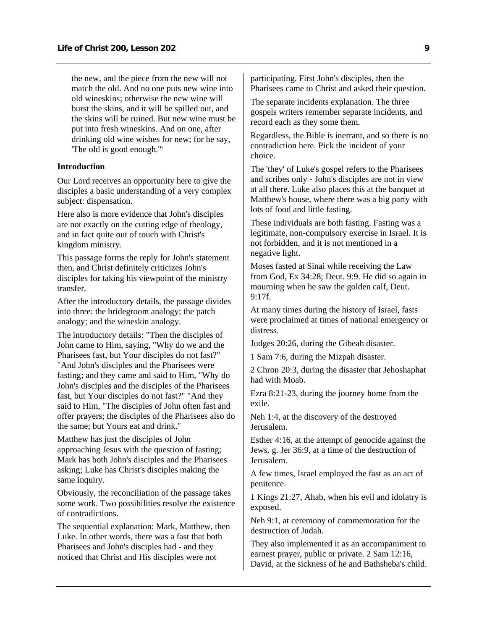the new, and the piece from the new will not match the old. And no one puts new wine into old wineskins; otherwise the new wine will burst the skins, and it will be spilled out, and the skins will be ruined. But new wine must be put into fresh wineskins. And on one, after drinking old wine wishes for new; for he say, 'The old is good enough.'"

## **Introduction**

Our Lord receives an opportunity here to give the disciples a basic understanding of a very complex subject: dispensation.

Here also is more evidence that John's disciples are not exactly on the cutting edge of theology, and in fact quite out of touch with Christ's kingdom ministry.

This passage forms the reply for John's statement then, and Christ definitely criticizes John's disciples for taking his viewpoint of the ministry transfer.

After the introductory details, the passage divides into three: the bridegroom analogy; the patch analogy; and the wineskin analogy.

The introductory details: "Then the disciples of John came to Him, saying, "Why do we and the Pharisees fast, but Your disciples do not fast?" "And John's disciples and the Pharisees were fasting; and they came and said to Him, "Why do John's disciples and the disciples of the Pharisees fast, but Your disciples do not fast?" "And they said to Him, "The disciples of John often fast and offer prayers; the disciples of the Pharisees also do the same; but Yours eat and drink."

Matthew has just the disciples of John approaching Jesus with the question of fasting; Mark has both John's disciples and the Pharisees asking; Luke has Christ's disciples making the same inquiry.

Obviously, the reconciliation of the passage takes some work. Two possibilities resolve the existence of contradictions.

The sequential explanation: Mark, Matthew, then Luke. In other words, there was a fast that both Pharisees and John's disciples had - and they noticed that Christ and His disciples were not

participating. First John's disciples, then the Pharisees came to Christ and asked their question.

The separate incidents explanation. The three gospels writers remember separate incidents, and record each as they some them.

Regardless, the Bible is inerrant, and so there is no contradiction here. Pick the incident of your choice.

The 'they' of Luke's gospel refers to the Pharisees and scribes only - John's disciples are not in view at all there. Luke also places this at the banquet at Matthew's house, where there was a big party with lots of food and little fasting.

These individuals are both fasting. Fasting was a legitimate, non-compulsory exercise in Israel. It is not forbidden, and it is not mentioned in a negative light.

Moses fasted at Sinai while receiving the Law from God, Ex 34:28; Deut. 9:9. He did so again in mourning when he saw the golden calf, Deut. 9:17f.

At many times during the history of Israel, fasts were proclaimed at times of national emergency or distress.

Judges 20:26, during the Gibeah disaster.

1 Sam 7:6, during the Mizpah disaster.

2 Chron 20:3, during the disaster that Jehoshaphat had with Moab.

Ezra 8:21-23, during the journey home from the exile.

Neh 1:4, at the discovery of the destroyed Jerusalem.

Esther 4:16, at the attempt of genocide against the Jews. g. Jer 36:9, at a time of the destruction of Jerusalem.

A few times, Israel employed the fast as an act of penitence.

1 Kings 21:27, Ahab, when his evil and idolatry is exposed.

Neh 9:1, at ceremony of commemoration for the destruction of Judah.

They also implemented it as an accompaniment to earnest prayer, public or private. 2 Sam 12:16, David, at the sickness of he and Bathsheba's child.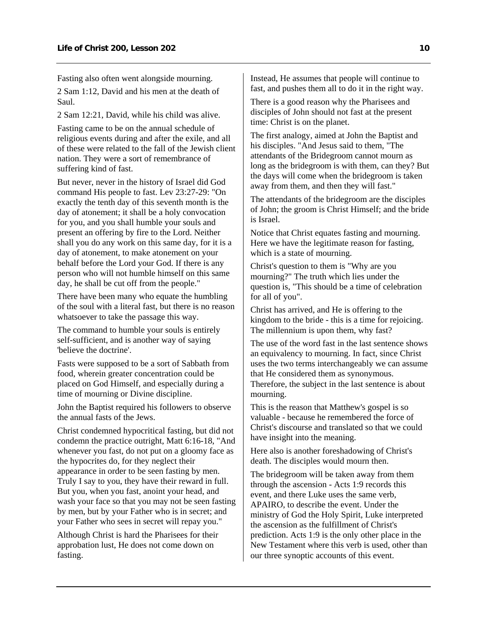Fasting also often went alongside mourning.

2 Sam 1:12, David and his men at the death of Saul.

2 Sam 12:21, David, while his child was alive.

Fasting came to be on the annual schedule of religious events during and after the exile, and all of these were related to the fall of the Jewish client nation. They were a sort of remembrance of suffering kind of fast.

But never, never in the history of Israel did God command His people to fast. Lev 23:27-29: "On exactly the tenth day of this seventh month is the day of atonement; it shall be a holy convocation for you, and you shall humble your souls and present an offering by fire to the Lord. Neither shall you do any work on this same day, for it is a day of atonement, to make atonement on your behalf before the Lord your God. If there is any person who will not humble himself on this same day, he shall be cut off from the people."

There have been many who equate the humbling of the soul with a literal fast, but there is no reason whatsoever to take the passage this way.

The command to humble your souls is entirely self-sufficient, and is another way of saying 'believe the doctrine'.

Fasts were supposed to be a sort of Sabbath from food, wherein greater concentration could be placed on God Himself, and especially during a time of mourning or Divine discipline.

John the Baptist required his followers to observe the annual fasts of the Jews.

Christ condemned hypocritical fasting, but did not condemn the practice outright, Matt 6:16-18, "And whenever you fast, do not put on a gloomy face as the hypocrites do, for they neglect their appearance in order to be seen fasting by men. Truly I say to you, they have their reward in full. But you, when you fast, anoint your head, and wash your face so that you may not be seen fasting by men, but by your Father who is in secret; and your Father who sees in secret will repay you."

Although Christ is hard the Pharisees for their approbation lust, He does not come down on fasting.

Instead, He assumes that people will continue to fast, and pushes them all to do it in the right way.

There is a good reason why the Pharisees and disciples of John should not fast at the present time: Christ is on the planet.

The first analogy, aimed at John the Baptist and his disciples. "And Jesus said to them, "The attendants of the Bridegroom cannot mourn as long as the bridegroom is with them, can they? But the days will come when the bridegroom is taken away from them, and then they will fast."

The attendants of the bridegroom are the disciples of John; the groom is Christ Himself; and the bride is Israel.

Notice that Christ equates fasting and mourning. Here we have the legitimate reason for fasting, which is a state of mourning.

Christ's question to them is "Why are you mourning?" The truth which lies under the question is, "This should be a time of celebration for all of you".

Christ has arrived, and He is offering to the kingdom to the bride - this is a time for rejoicing. The millennium is upon them, why fast?

The use of the word fast in the last sentence shows an equivalency to mourning. In fact, since Christ uses the two terms interchangeably we can assume that He considered them as synonymous. Therefore, the subject in the last sentence is about mourning.

This is the reason that Matthew's gospel is so valuable - because he remembered the force of Christ's discourse and translated so that we could have insight into the meaning.

Here also is another foreshadowing of Christ's death. The disciples would mourn then.

The bridegroom will be taken away from them through the ascension - Acts 1:9 records this event, and there Luke uses the same verb, APAIRO, to describe the event. Under the ministry of God the Holy Spirit, Luke interpreted the ascension as the fulfillment of Christ's prediction. Acts 1:9 is the only other place in the New Testament where this verb is used, other than our three synoptic accounts of this event.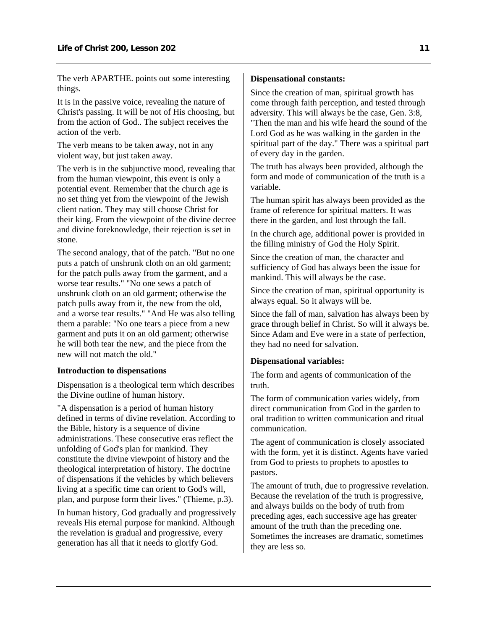The verb APARTHE. points out some interesting things.

It is in the passive voice, revealing the nature of Christ's passing. It will be not of His choosing, but from the action of God.. The subject receives the action of the verb.

The verb means to be taken away, not in any violent way, but just taken away.

The verb is in the subjunctive mood, revealing that from the human viewpoint, this event is only a potential event. Remember that the church age is no set thing yet from the viewpoint of the Jewish client nation. They may still choose Christ for their king. From the viewpoint of the divine decree and divine foreknowledge, their rejection is set in stone.

The second analogy, that of the patch. "But no one puts a patch of unshrunk cloth on an old garment; for the patch pulls away from the garment, and a worse tear results." "No one sews a patch of unshrunk cloth on an old garment; otherwise the patch pulls away from it, the new from the old, and a worse tear results." "And He was also telling them a parable: "No one tears a piece from a new garment and puts it on an old garment; otherwise he will both tear the new, and the piece from the new will not match the old."

#### **Introduction to dispensations**

Dispensation is a theological term which describes the Divine outline of human history.

"A dispensation is a period of human history defined in terms of divine revelation. According to the Bible, history is a sequence of divine administrations. These consecutive eras reflect the unfolding of God's plan for mankind. They constitute the divine viewpoint of history and the theological interpretation of history. The doctrine of dispensations if the vehicles by which believers living at a specific time can orient to God's will, plan, and purpose form their lives." (Thieme, p.3).

In human history, God gradually and progressively reveals His eternal purpose for mankind. Although the revelation is gradual and progressive, every generation has all that it needs to glorify God.

#### **Dispensational constants:**

Since the creation of man, spiritual growth has come through faith perception, and tested through adversity. This will always be the case, Gen. 3:8, "Then the man and his wife heard the sound of the Lord God as he was walking in the garden in the spiritual part of the day." There was a spiritual part of every day in the garden.

The truth has always been provided, although the form and mode of communication of the truth is a variable.

The human spirit has always been provided as the frame of reference for spiritual matters. It was there in the garden, and lost through the fall.

In the church age, additional power is provided in the filling ministry of God the Holy Spirit.

Since the creation of man, the character and sufficiency of God has always been the issue for mankind. This will always be the case.

Since the creation of man, spiritual opportunity is always equal. So it always will be.

Since the fall of man, salvation has always been by grace through belief in Christ. So will it always be. Since Adam and Eve were in a state of perfection, they had no need for salvation.

#### **Dispensational variables:**

The form and agents of communication of the truth.

The form of communication varies widely, from direct communication from God in the garden to oral tradition to written communication and ritual communication.

The agent of communication is closely associated with the form, yet it is distinct. Agents have varied from God to priests to prophets to apostles to pastors.

The amount of truth, due to progressive revelation. Because the revelation of the truth is progressive, and always builds on the body of truth from preceding ages, each successive age has greater amount of the truth than the preceding one. Sometimes the increases are dramatic, sometimes they are less so.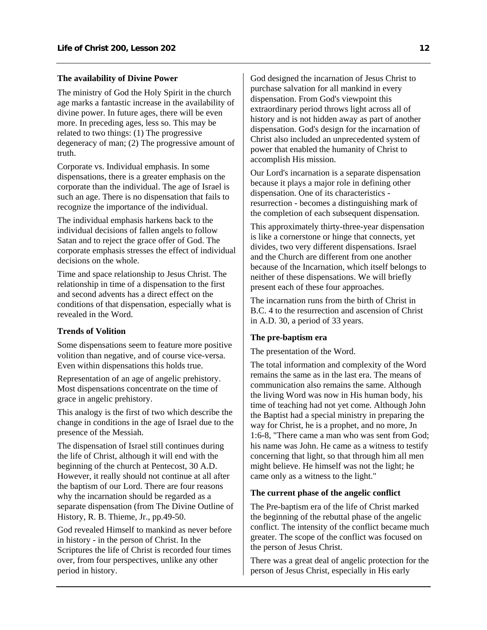## **The availability of Divine Power**

The ministry of God the Holy Spirit in the church age marks a fantastic increase in the availability of divine power. In future ages, there will be even more. In preceding ages, less so. This may be related to two things: (1) The progressive degeneracy of man; (2) The progressive amount of truth.

Corporate vs. Individual emphasis. In some dispensations, there is a greater emphasis on the corporate than the individual. The age of Israel is such an age. There is no dispensation that fails to recognize the importance of the individual.

The individual emphasis harkens back to the individual decisions of fallen angels to follow Satan and to reject the grace offer of God. The corporate emphasis stresses the effect of individual decisions on the whole.

Time and space relationship to Jesus Christ. The relationship in time of a dispensation to the first and second advents has a direct effect on the conditions of that dispensation, especially what is revealed in the Word.

#### **Trends of Volition**

Some dispensations seem to feature more positive volition than negative, and of course vice-versa. Even within dispensations this holds true.

Representation of an age of angelic prehistory. Most dispensations concentrate on the time of grace in angelic prehistory.

This analogy is the first of two which describe the change in conditions in the age of Israel due to the presence of the Messiah.

The dispensation of Israel still continues during the life of Christ, although it will end with the beginning of the church at Pentecost, 30 A.D. However, it really should not continue at all after the baptism of our Lord. There are four reasons why the incarnation should be regarded as a separate dispensation (from The Divine Outline of History, R. B. Thieme, Jr., pp.49-50.

God revealed Himself to mankind as never before in history - in the person of Christ. In the Scriptures the life of Christ is recorded four times over, from four perspectives, unlike any other period in history.

God designed the incarnation of Jesus Christ to purchase salvation for all mankind in every dispensation. From God's viewpoint this extraordinary period throws light across all of history and is not hidden away as part of another dispensation. God's design for the incarnation of Christ also included an unprecedented system of power that enabled the humanity of Christ to accomplish His mission.

Our Lord's incarnation is a separate dispensation because it plays a major role in defining other dispensation. One of its characteristics resurrection - becomes a distinguishing mark of the completion of each subsequent dispensation.

This approximately thirty-three-year dispensation is like a cornerstone or hinge that connects, yet divides, two very different dispensations. Israel and the Church are different from one another because of the Incarnation, which itself belongs to neither of these dispensations. We will briefly present each of these four approaches.

The incarnation runs from the birth of Christ in B.C. 4 to the resurrection and ascension of Christ in A.D. 30, a period of 33 years.

#### **The pre-baptism era**

The presentation of the Word.

The total information and complexity of the Word remains the same as in the last era. The means of communication also remains the same. Although the living Word was now in His human body, his time of teaching had not yet come. Although John the Baptist had a special ministry in preparing the way for Christ, he is a prophet, and no more, Jn 1:6-8, "There came a man who was sent from God; his name was John. He came as a witness to testify concerning that light, so that through him all men might believe. He himself was not the light; he came only as a witness to the light."

#### **The current phase of the angelic conflict**

The Pre-baptism era of the life of Christ marked the beginning of the rebuttal phase of the angelic conflict. The intensity of the conflict became much greater. The scope of the conflict was focused on the person of Jesus Christ.

There was a great deal of angelic protection for the person of Jesus Christ, especially in His early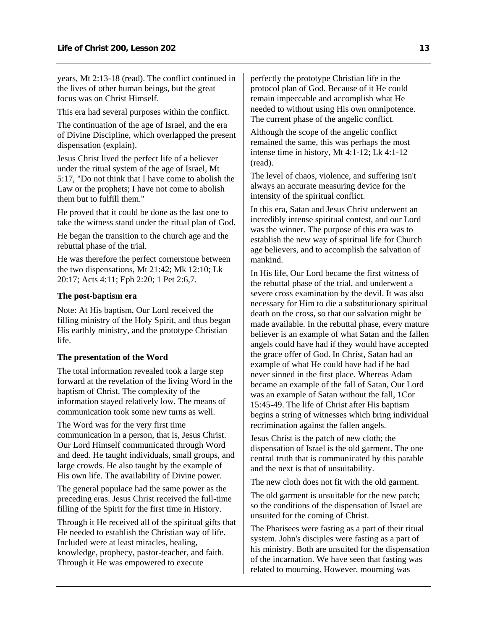years, Mt 2:13-18 (read). The conflict continued in the lives of other human beings, but the great focus was on Christ Himself.

This era had several purposes within the conflict.

The continuation of the age of Israel, and the era of Divine Discipline, which overlapped the present dispensation (explain).

Jesus Christ lived the perfect life of a believer under the ritual system of the age of Israel, Mt 5:17, "Do not think that I have come to abolish the Law or the prophets; I have not come to abolish them but to fulfill them."

He proved that it could be done as the last one to take the witness stand under the ritual plan of God.

He began the transition to the church age and the rebuttal phase of the trial.

He was therefore the perfect cornerstone between the two dispensations, Mt 21:42; Mk 12:10; Lk 20:17; Acts 4:11; Eph 2:20; 1 Pet 2:6,7.

#### **The post-baptism era**

Note: At His baptism, Our Lord received the filling ministry of the Holy Spirit, and thus began His earthly ministry, and the prototype Christian life.

#### **The presentation of the Word**

The total information revealed took a large step forward at the revelation of the living Word in the baptism of Christ. The complexity of the information stayed relatively low. The means of communication took some new turns as well.

The Word was for the very first time communication in a person, that is, Jesus Christ. Our Lord Himself communicated through Word and deed. He taught individuals, small groups, and large crowds. He also taught by the example of His own life. The availability of Divine power.

The general populace had the same power as the preceding eras. Jesus Christ received the full-time filling of the Spirit for the first time in History.

Through it He received all of the spiritual gifts that He needed to establish the Christian way of life. Included were at least miracles, healing, knowledge, prophecy, pastor-teacher, and faith. Through it He was empowered to execute

perfectly the prototype Christian life in the protocol plan of God. Because of it He could remain impeccable and accomplish what He needed to without using His own omnipotence. The current phase of the angelic conflict.

Although the scope of the angelic conflict remained the same, this was perhaps the most intense time in history, Mt 4:1-12; Lk 4:1-12 (read).

The level of chaos, violence, and suffering isn't always an accurate measuring device for the intensity of the spiritual conflict.

In this era, Satan and Jesus Christ underwent an incredibly intense spiritual contest, and our Lord was the winner. The purpose of this era was to establish the new way of spiritual life for Church age believers, and to accomplish the salvation of mankind.

In His life, Our Lord became the first witness of the rebuttal phase of the trial, and underwent a severe cross examination by the devil. It was also necessary for Him to die a substitutionary spiritual death on the cross, so that our salvation might be made available. In the rebuttal phase, every mature believer is an example of what Satan and the fallen angels could have had if they would have accepted the grace offer of God. In Christ, Satan had an example of what He could have had if he had never sinned in the first place. Whereas Adam became an example of the fall of Satan, Our Lord was an example of Satan without the fall, 1Cor 15:45-49. The life of Christ after His baptism begins a string of witnesses which bring individual recrimination against the fallen angels.

Jesus Christ is the patch of new cloth; the dispensation of Israel is the old garment. The one central truth that is communicated by this parable and the next is that of unsuitability.

The new cloth does not fit with the old garment.

The old garment is unsuitable for the new patch; so the conditions of the dispensation of Israel are unsuited for the coming of Christ.

The Pharisees were fasting as a part of their ritual system. John's disciples were fasting as a part of his ministry. Both are unsuited for the dispensation of the incarnation. We have seen that fasting was related to mourning. However, mourning was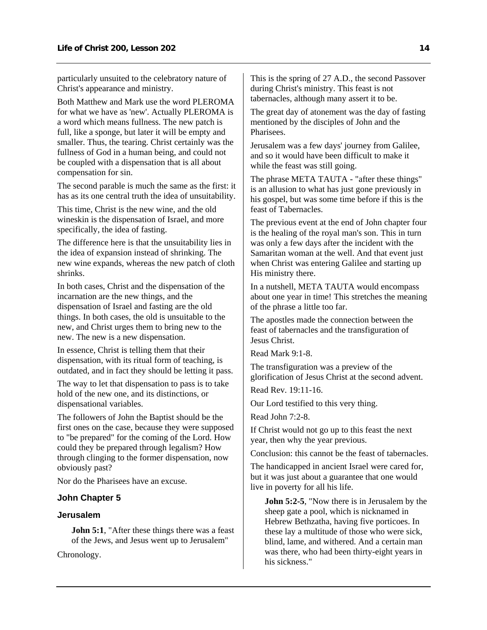<span id="page-15-0"></span>particularly unsuited to the celebratory nature of Christ's appearance and ministry.

Both Matthew and Mark use the word PLEROMA for what we have as 'new'. Actually PLEROMA is a word which means fullness. The new patch is full, like a sponge, but later it will be empty and smaller. Thus, the tearing. Christ certainly was the fullness of God in a human being, and could not be coupled with a dispensation that is all about compensation for sin.

The second parable is much the same as the first: it has as its one central truth the idea of unsuitability.

This time, Christ is the new wine, and the old wineskin is the dispensation of Israel, and more specifically, the idea of fasting.

The difference here is that the unsuitability lies in the idea of expansion instead of shrinking. The new wine expands, whereas the new patch of cloth shrinks.

In both cases, Christ and the dispensation of the incarnation are the new things, and the dispensation of Israel and fasting are the old things. In both cases, the old is unsuitable to the new, and Christ urges them to bring new to the new. The new is a new dispensation.

In essence, Christ is telling them that their dispensation, with its ritual form of teaching, is outdated, and in fact they should be letting it pass.

The way to let that dispensation to pass is to take hold of the new one, and its distinctions, or dispensational variables.

The followers of John the Baptist should be the first ones on the case, because they were supposed to "be prepared" for the coming of the Lord. How could they be prepared through legalism? How through clinging to the former dispensation, now obviously past?

Nor do the Pharisees have an excuse.

## **John Chapter 5**

#### **Jerusalem**

**John 5:1**, "After these things there was a feast of the Jews, and Jesus went up to Jerusalem"

Chronology.

This is the spring of 27 A.D., the second Passover during Christ's ministry. This feast is not tabernacles, although many assert it to be.

The great day of atonement was the day of fasting mentioned by the disciples of John and the Pharisees.

Jerusalem was a few days' journey from Galilee, and so it would have been difficult to make it while the feast was still going.

The phrase META TAUTA - "after these things" is an allusion to what has just gone previously in his gospel, but was some time before if this is the feast of Tabernacles.

The previous event at the end of John chapter four is the healing of the royal man's son. This in turn was only a few days after the incident with the Samaritan woman at the well. And that event just when Christ was entering Galilee and starting up His ministry there.

In a nutshell, META TAUTA would encompass about one year in time! This stretches the meaning of the phrase a little too far.

The apostles made the connection between the feast of tabernacles and the transfiguration of Jesus Christ.

Read Mark 9:1-8.

The transfiguration was a preview of the glorification of Jesus Christ at the second advent.

Read Rev. 19:11-16.

Our Lord testified to this very thing.

Read John  $7.2-8$ .

If Christ would not go up to this feast the next year, then why the year previous.

Conclusion: this cannot be the feast of tabernacles.

The handicapped in ancient Israel were cared for, but it was just about a guarantee that one would live in poverty for all his life.

**John 5:2-5**, "Now there is in Jerusalem by the sheep gate a pool, which is nicknamed in Hebrew Bethzatha, having five porticoes. In these lay a multitude of those who were sick, blind, lame, and withered. And a certain man was there, who had been thirty-eight years in his sickness."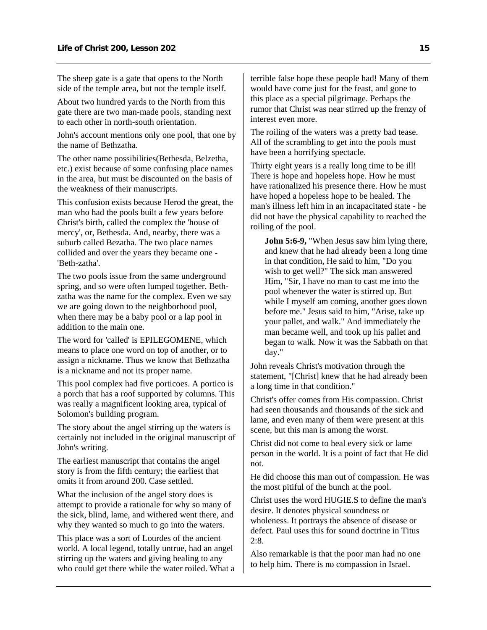The sheep gate is a gate that opens to the North side of the temple area, but not the temple itself.

About two hundred yards to the North from this gate there are two man-made pools, standing next to each other in north-south orientation.

John's account mentions only one pool, that one by the name of Bethzatha.

The other name possibilities(Bethesda, Belzetha, etc.) exist because of some confusing place names in the area, but must be discounted on the basis of the weakness of their manuscripts.

This confusion exists because Herod the great, the man who had the pools built a few years before Christ's birth, called the complex the 'house of mercy', or, Bethesda. And, nearby, there was a suburb called Bezatha. The two place names collided and over the years they became one - 'Beth-zatha'.

The two pools issue from the same underground spring, and so were often lumped together. Bethzatha was the name for the complex. Even we say we are going down to the neighborhood pool, when there may be a baby pool or a lap pool in addition to the main one.

The word for 'called' is EPILEGOMENE, which means to place one word on top of another, or to assign a nickname. Thus we know that Bethzatha is a nickname and not its proper name.

This pool complex had five porticoes. A portico is a porch that has a roof supported by columns. This was really a magnificent looking area, typical of Solomon's building program.

The story about the angel stirring up the waters is certainly not included in the original manuscript of John's writing.

The earliest manuscript that contains the angel story is from the fifth century; the earliest that omits it from around 200. Case settled.

What the inclusion of the angel story does is attempt to provide a rationale for why so many of the sick, blind, lame, and withered went there, and why they wanted so much to go into the waters.

This place was a sort of Lourdes of the ancient world. A local legend, totally untrue, had an angel stirring up the waters and giving healing to any who could get there while the water roiled. What a terrible false hope these people had! Many of them would have come just for the feast, and gone to this place as a special pilgrimage. Perhaps the rumor that Christ was near stirred up the frenzy of interest even more.

The roiling of the waters was a pretty bad tease. All of the scrambling to get into the pools must have been a horrifying spectacle.

Thirty eight years is a really long time to be ill! There is hope and hopeless hope. How he must have rationalized his presence there. How he must have hoped a hopeless hope to be healed. The man's illness left him in an incapacitated state - he did not have the physical capability to reached the roiling of the pool.

**John 5:6-9,** "When Jesus saw him lying there, and knew that he had already been a long time in that condition, He said to him, "Do you wish to get well?" The sick man answered Him, "Sir, I have no man to cast me into the pool whenever the water is stirred up. But while I myself am coming, another goes down before me." Jesus said to him, "Arise, take up your pallet, and walk." And immediately the man became well, and took up his pallet and began to walk. Now it was the Sabbath on that day."

John reveals Christ's motivation through the statement, "[Christ] knew that he had already been a long time in that condition."

Christ's offer comes from His compassion. Christ had seen thousands and thousands of the sick and lame, and even many of them were present at this scene, but this man is among the worst.

Christ did not come to heal every sick or lame person in the world. It is a point of fact that He did not.

He did choose this man out of compassion. He was the most pitiful of the bunch at the pool.

Christ uses the word HUGIE.S to define the man's desire. It denotes physical soundness or wholeness. It portrays the absence of disease or defect. Paul uses this for sound doctrine in Titus  $2:8$ .

Also remarkable is that the poor man had no one to help him. There is no compassion in Israel.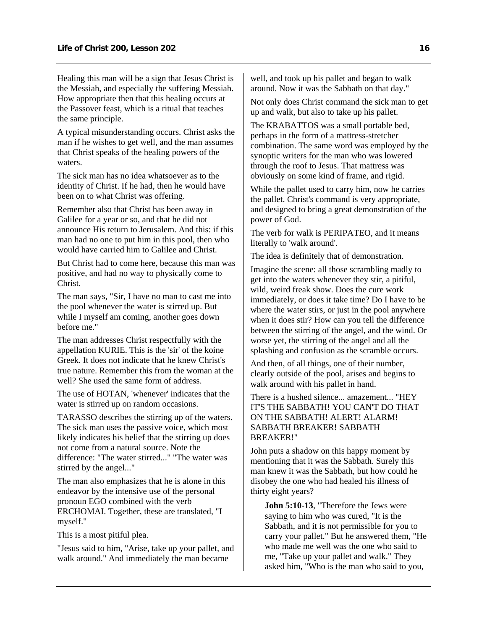Healing this man will be a sign that Jesus Christ is the Messiah, and especially the suffering Messiah. How appropriate then that this healing occurs at the Passover feast, which is a ritual that teaches the same principle.

A typical misunderstanding occurs. Christ asks the man if he wishes to get well, and the man assumes that Christ speaks of the healing powers of the waters.

The sick man has no idea whatsoever as to the identity of Christ. If he had, then he would have been on to what Christ was offering.

Remember also that Christ has been away in Galilee for a year or so, and that he did not announce His return to Jerusalem. And this: if this man had no one to put him in this pool, then who would have carried him to Galilee and Christ.

But Christ had to come here, because this man was positive, and had no way to physically come to Christ.

The man says, "Sir, I have no man to cast me into the pool whenever the water is stirred up. But while I myself am coming, another goes down before me."

The man addresses Christ respectfully with the appellation KURIE. This is the 'sir' of the koine Greek. It does not indicate that he knew Christ's true nature. Remember this from the woman at the well? She used the same form of address.

The use of HOTAN, 'whenever' indicates that the water is stirred up on random occasions.

TARASSO describes the stirring up of the waters. The sick man uses the passive voice, which most likely indicates his belief that the stirring up does not come from a natural source. Note the difference: "The water stirred..." "The water was stirred by the angel..."

The man also emphasizes that he is alone in this endeavor by the intensive use of the personal pronoun EGO combined with the verb ERCHOMAI. Together, these are translated, "I myself."

This is a most pitiful plea.

"Jesus said to him, "Arise, take up your pallet, and walk around." And immediately the man became

well, and took up his pallet and began to walk around. Now it was the Sabbath on that day."

Not only does Christ command the sick man to get up and walk, but also to take up his pallet.

The KRABATTOS was a small portable bed, perhaps in the form of a mattress-stretcher combination. The same word was employed by the synoptic writers for the man who was lowered through the roof to Jesus. That mattress was obviously on some kind of frame, and rigid.

While the pallet used to carry him, now he carries the pallet. Christ's command is very appropriate, and designed to bring a great demonstration of the power of God.

The verb for walk is PERIPATEO, and it means literally to 'walk around'.

The idea is definitely that of demonstration.

Imagine the scene: all those scrambling madly to get into the waters whenever they stir, a pitiful, wild, weird freak show. Does the cure work immediately, or does it take time? Do I have to be where the water stirs, or just in the pool anywhere when it does stir? How can you tell the difference between the stirring of the angel, and the wind. Or worse yet, the stirring of the angel and all the splashing and confusion as the scramble occurs.

And then, of all things, one of their number, clearly outside of the pool, arises and begins to walk around with his pallet in hand.

There is a hushed silence... amazement... "HEY IT'S THE SABBATH! YOU CAN'T DO THAT ON THE SABBATH! ALERT! ALARM! SABBATH BREAKER! SABBATH BREAKER!"

John puts a shadow on this happy moment by mentioning that it was the Sabbath. Surely this man knew it was the Sabbath, but how could he disobey the one who had healed his illness of thirty eight years?

**John 5:10-13**, "Therefore the Jews were saying to him who was cured, "It is the Sabbath, and it is not permissible for you to carry your pallet." But he answered them, "He who made me well was the one who said to me, "Take up your pallet and walk." They asked him, "Who is the man who said to you,